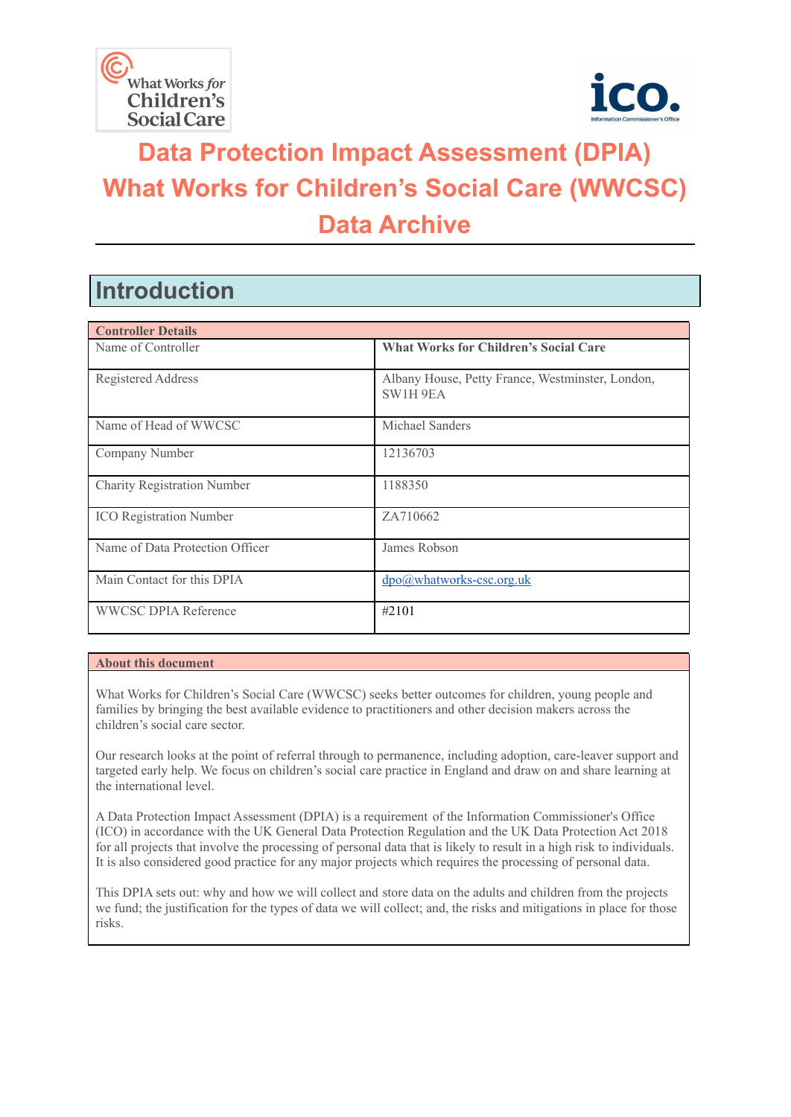



# **Data Protection Impact Assessment (DPIA) What Works for Children's Social Care (WWCSC) Data Archive**

## **Introduction**

| <b>Controller Details</b>          |                                                                     |  |  |
|------------------------------------|---------------------------------------------------------------------|--|--|
| Name of Controller                 | <b>What Works for Children's Social Care</b>                        |  |  |
| Registered Address                 | Albany House, Petty France, Westminster, London,<br><b>SW1H 9EA</b> |  |  |
| Name of Head of WWCSC              | Michael Sanders                                                     |  |  |
| Company Number                     | 12136703                                                            |  |  |
| <b>Charity Registration Number</b> | 1188350                                                             |  |  |
| <b>ICO</b> Registration Number     | ZA710662                                                            |  |  |
| Name of Data Protection Officer    | James Robson                                                        |  |  |
| Main Contact for this DPIA         | $\text{dpo}(a)$ whatworks-csc.org.uk                                |  |  |
| <b>WWCSC DPIA Reference</b>        | #2101                                                               |  |  |

#### **About this document**

What Works for Children's Social Care (WWCSC) seeks better outcomes for children, young people and families by bringing the best available evidence to practitioners and other decision makers across the children's social care sector.

Our research looks at the point of referral through to permanence, including adoption, care-leaver support and targeted early help. We focus on children's social care practice in England and draw on and share learning at the international level.

A Data Protection Impact Assessment (DPIA) is a requirement of the Information Commissioner's Office (ICO) in accordance with the UK General Data Protection Regulation and the UK Data Protection Act 2018 for all projects that involve the processing of personal data that is likely to result in a high risk to individuals. It is also considered good practice for any major projects which requires the processing of personal data.

This DPIA sets out: why and how we will collect and store data on the adults and children from the projects we fund; the justification for the types of data we will collect; and, the risks and mitigations in place for those risks.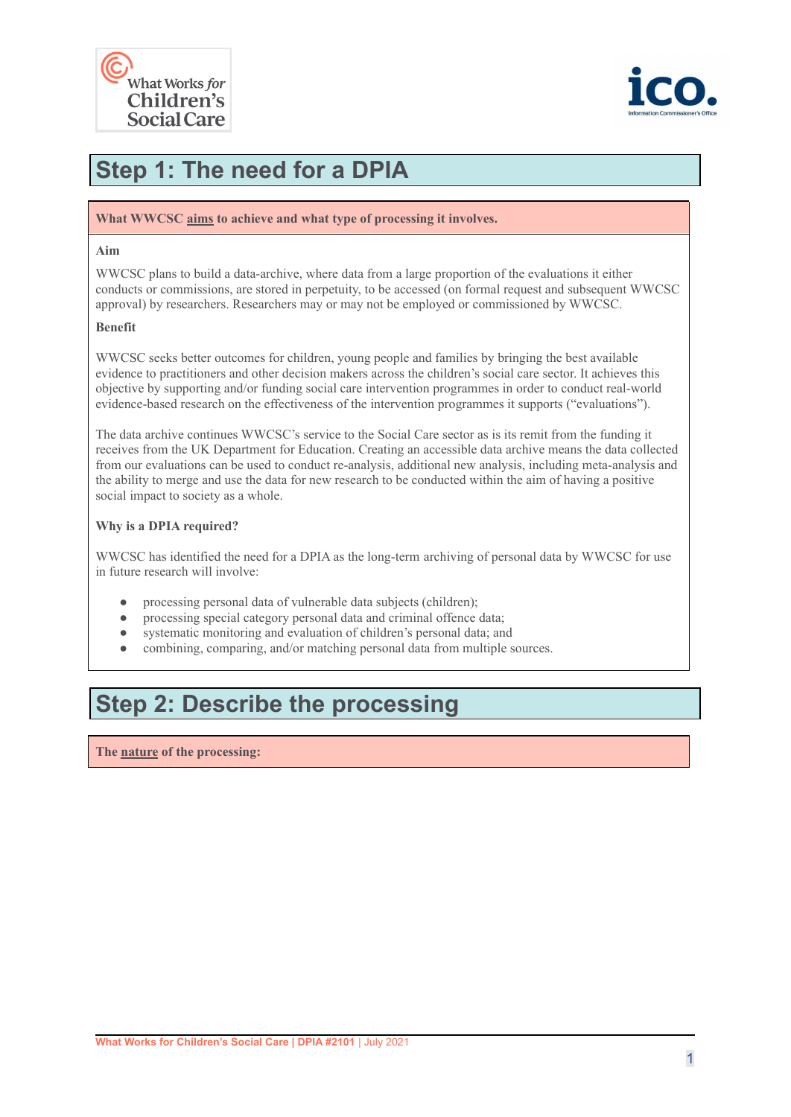



## **Step 1: The need for a DPIA**

#### **What WWCSC aims to achieve and what type of processing it involves.**

#### **Aim**

WWCSC plans to build a data-archive, where data from a large proportion of the evaluations it either conducts or commissions, are stored in perpetuity, to be accessed (on formal request and subsequent WWCSC approval) by researchers. Researchers may or may not be employed or commissioned by WWCSC.

#### **Benefit**

WWCSC seeks better outcomes for children, young people and families by bringing the best available evidence to practitioners and other decision makers across the children's social care sector. It achieves this objective by supporting and/or funding social care intervention programmes in order to conduct real-world evidence-based research on the effectiveness of the intervention programmes it supports ("evaluations").

The data archive continues WWCSC's service to the Social Care sector as is its remit from the funding it receives from the UK Department for Education. Creating an accessible data archive means the data collected from our evaluations can be used to conduct re-analysis, additional new analysis, including meta-analysis and the ability to merge and use the data for new research to be conducted within the aim of having a positive social impact to society as a whole.

#### **Why is a DPIA required?**

WWCSC has identified the need for a DPIA as the long-term archiving of personal data by WWCSC for use in future research will involve:

- processing personal data of vulnerable data subjects (children);
- processing special category personal data and criminal offence data;
- systematic monitoring and evaluation of children's personal data; and
- combining, comparing, and/or matching personal data from multiple sources.

### **Step 2: Describe the processing**

**The nature of the processing:**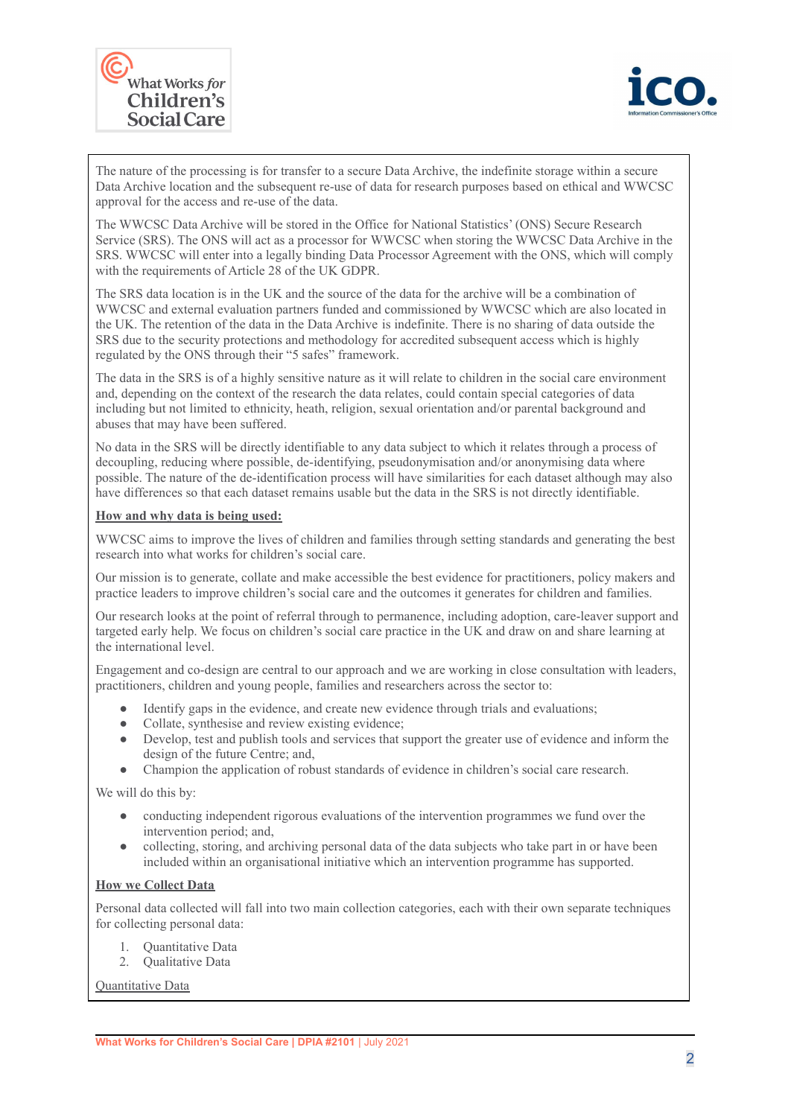



The nature of the processing is for transfer to a secure Data Archive, the indefinite storage within a secure Data Archive location and the subsequent re-use of data for research purposes based on ethical and WWCSC approval for the access and re-use of the data.

The WWCSC Data Archive will be stored in the Office for National Statistics' (ONS) Secure Research Service (SRS). The ONS will act as a processor for WWCSC when storing the WWCSC Data Archive in the SRS. WWCSC will enter into a legally binding Data Processor Agreement with the ONS, which will comply with the requirements of Article 28 of the UK GDPR.

The SRS data location is in the UK and the source of the data for the archive will be a combination of WWCSC and external evaluation partners funded and commissioned by WWCSC which are also located in the UK. The retention of the data in the Data Archive is indefinite. There is no sharing of data outside the SRS due to the security protections and methodology for accredited subsequent access which is highly regulated by the ONS through their "5 safes" framework.

The data in the SRS is of a highly sensitive nature as it will relate to children in the social care environment and, depending on the context of the research the data relates, could contain special categories of data including but not limited to ethnicity, heath, religion, sexual orientation and/or parental background and abuses that may have been suffered.

No data in the SRS will be directly identifiable to any data subject to which it relates through a process of decoupling, reducing where possible, de-identifying, pseudonymisation and/or anonymising data where possible. The nature of the de-identification process will have similarities for each dataset although may also have differences so that each dataset remains usable but the data in the SRS is not directly identifiable.

#### **How and why data is being used:**

WWCSC aims to improve the lives of children and families through setting standards and generating the best research into what works for children's social care.

Our mission is to generate, collate and make accessible the best evidence for practitioners, policy makers and practice leaders to improve children's social care and the outcomes it generates for children and families.

Our research looks at the point of referral through to permanence, including adoption, care-leaver support and targeted early help. We focus on children's social care practice in the UK and draw on and share learning at the international level.

Engagement and co-design are central to our approach and we are working in close consultation with leaders, practitioners, children and young people, families and researchers across the sector to:

- Identify gaps in the evidence, and create new evidence through trials and evaluations;
- Collate, synthesise and review existing evidence;
- Develop, test and publish tools and services that support the greater use of evidence and inform the design of the future Centre; and,
- Champion the application of robust standards of evidence in children's social care research.

We will do this by:

- conducting independent rigorous evaluations of the intervention programmes we fund over the intervention period; and,
- collecting, storing, and archiving personal data of the data subjects who take part in or have been included within an organisational initiative which an intervention programme has supported.

#### **How we Collect Data**

Personal data collected will fall into two main collection categories, each with their own separate techniques for collecting personal data:

- 1. Quantitative Data
- 2. Qualitative Data

Quantitative Data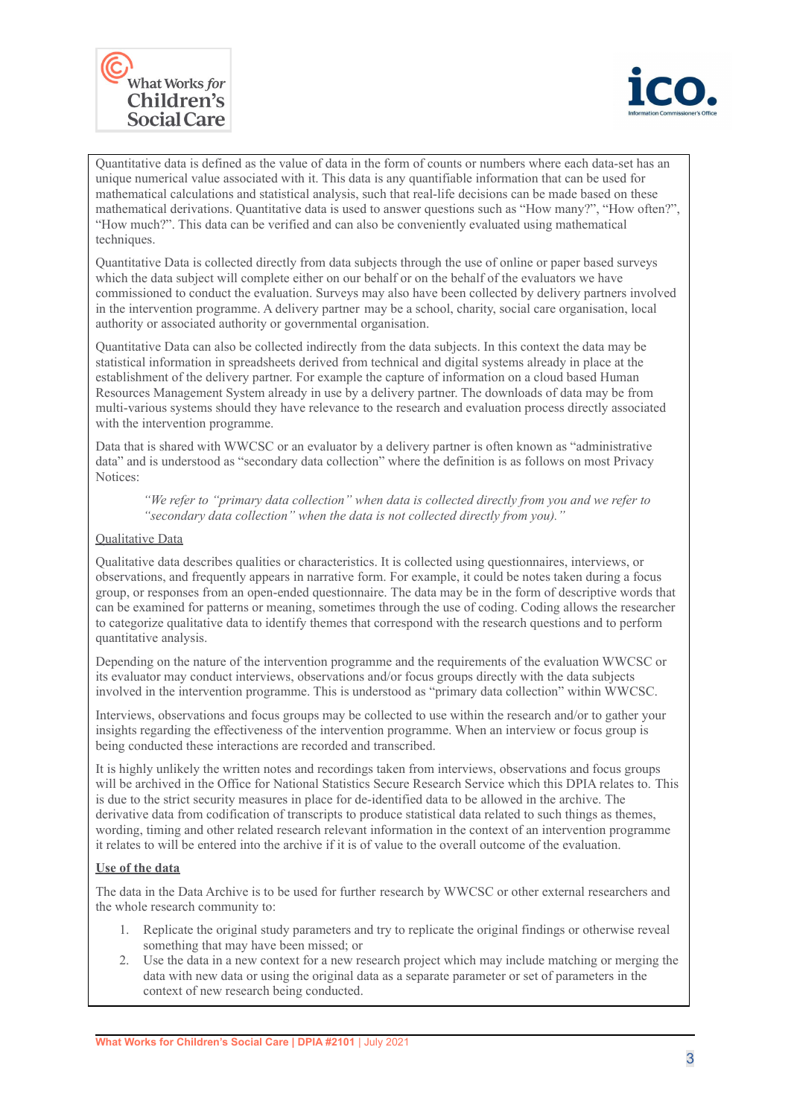



Quantitative data is defined as the value of data in the form of counts or numbers where each data-set has an unique numerical value associated with it. This data is any quantifiable information that can be used for mathematical calculations and statistical analysis, such that real-life decisions can be made based on these mathematical derivations. Quantitative data is used to answer questions such as "How many?", "How often?", "How much?". This data can be verified and can also be conveniently evaluated using mathematical techniques.

Quantitative Data is collected directly from data subjects through the use of online or paper based surveys which the data subject will complete either on our behalf or on the behalf of the evaluators we have commissioned to conduct the evaluation. Surveys may also have been collected by delivery partners involved in the intervention programme. A delivery partner may be a school, charity, social care organisation, local authority or associated authority or governmental organisation.

Quantitative Data can also be collected indirectly from the data subjects. In this context the data may be statistical information in spreadsheets derived from technical and digital systems already in place at the establishment of the delivery partner. For example the capture of information on a cloud based Human Resources Management System already in use by a delivery partner. The downloads of data may be from multi-various systems should they have relevance to the research and evaluation process directly associated with the intervention programme.

Data that is shared with WWCSC or an evaluator by a delivery partner is often known as "administrative data" and is understood as "secondary data collection" where the definition is as follows on most Privacy Notices:

*"We refer to "primary data collection" when data is collected directly from you and we refer to "secondary data collection" when the data is not collected directly from you)."*

#### Qualitative Data

Qualitative data describes qualities or characteristics. It is collected using questionnaires, interviews, or observations, and frequently appears in narrative form. For example, it could be notes taken during a focus group, or responses from an open-ended questionnaire. The data may be in the form of descriptive words that can be examined for patterns or meaning, sometimes through the use of coding. Coding allows the researcher to categorize qualitative data to identify themes that correspond with the research questions and to perform quantitative analysis.

Depending on the nature of the intervention programme and the requirements of the evaluation WWCSC or its evaluator may conduct interviews, observations and/or focus groups directly with the data subjects involved in the intervention programme. This is understood as "primary data collection" within WWCSC.

Interviews, observations and focus groups may be collected to use within the research and/or to gather your insights regarding the effectiveness of the intervention programme. When an interview or focus group is being conducted these interactions are recorded and transcribed.

It is highly unlikely the written notes and recordings taken from interviews, observations and focus groups will be archived in the Office for National Statistics Secure Research Service which this DPIA relates to. This is due to the strict security measures in place for de-identified data to be allowed in the archive. The derivative data from codification of transcripts to produce statistical data related to such things as themes, wording, timing and other related research relevant information in the context of an intervention programme it relates to will be entered into the archive if it is of value to the overall outcome of the evaluation.

#### **Use of the data**

The data in the Data Archive is to be used for further research by WWCSC or other external researchers and the whole research community to:

- 1. Replicate the original study parameters and try to replicate the original findings or otherwise reveal something that may have been missed; or
- 2. Use the data in a new context for a new research project which may include matching or merging the data with new data or using the original data as a separate parameter or set of parameters in the context of new research being conducted.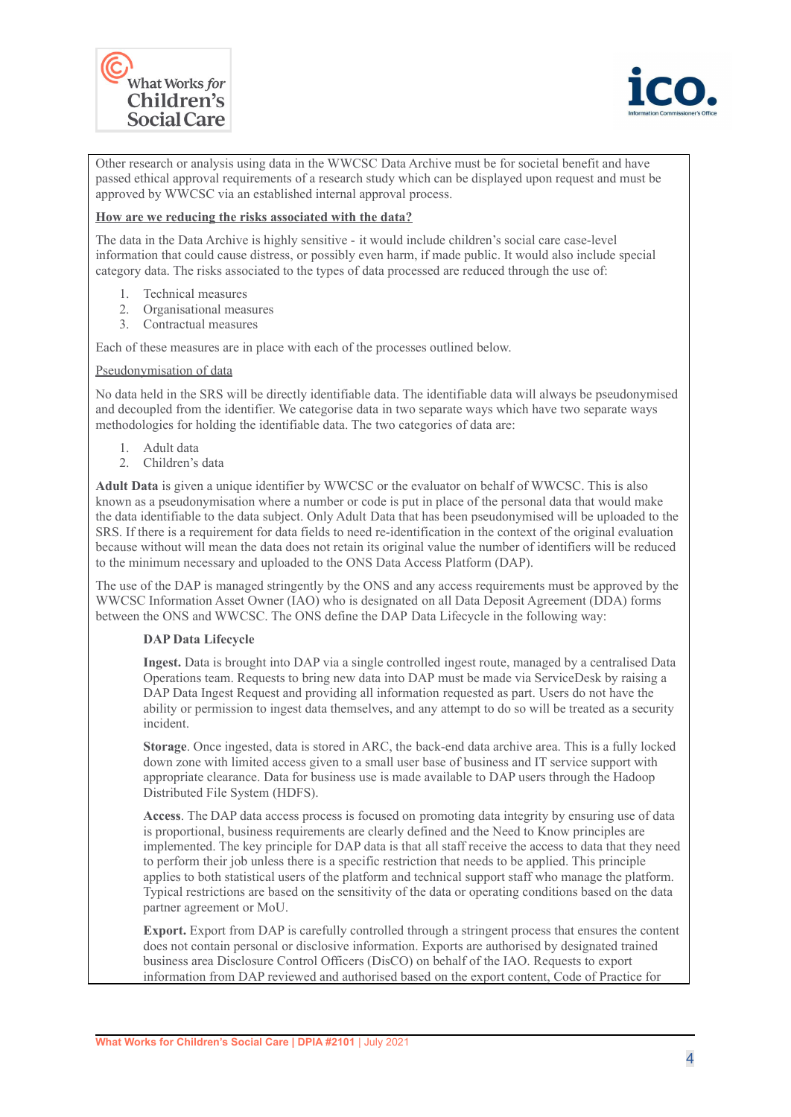



Other research or analysis using data in the WWCSC Data Archive must be for societal benefit and have passed ethical approval requirements of a research study which can be displayed upon request and must be approved by WWCSC via an established internal approval process.

#### **How are we reducing the risks associated with the data?**

The data in the Data Archive is highly sensitive - it would include children's social care case-level information that could cause distress, or possibly even harm, if made public. It would also include special category data. The risks associated to the types of data processed are reduced through the use of:

- 1. Technical measures
- 2. Organisational measures
- 3. Contractual measures

Each of these measures are in place with each of the processes outlined below.

#### Pseudonymisation of data

No data held in the SRS will be directly identifiable data. The identifiable data will always be pseudonymised and decoupled from the identifier. We categorise data in two separate ways which have two separate ways methodologies for holding the identifiable data. The two categories of data are:

- 1. Adult data
- 2. Children's data

**Adult Data** is given a unique identifier by WWCSC or the evaluator on behalf of WWCSC. This is also known as a pseudonymisation where a number or code is put in place of the personal data that would make the data identifiable to the data subject. Only Adult Data that has been pseudonymised will be uploaded to the SRS. If there is a requirement for data fields to need re-identification in the context of the original evaluation because without will mean the data does not retain its original value the number of identifiers will be reduced to the minimum necessary and uploaded to the ONS Data Access Platform (DAP).

The use of the DAP is managed stringently by the ONS and any access requirements must be approved by the WWCSC Information Asset Owner (IAO) who is designated on all Data Deposit Agreement (DDA) forms between the ONS and WWCSC. The ONS define the DAP Data Lifecycle in the following way:

#### **DAP Data Lifecycle**

**Ingest.** Data is brought into DAP via a single controlled ingest route, managed by a centralised Data Operations team. Requests to bring new data into DAP must be made via ServiceDesk by raising a DAP Data Ingest Request and providing all information requested as part. Users do not have the ability or permission to ingest data themselves, and any attempt to do so will be treated as a security incident.

**Storage**. Once ingested, data is stored in ARC, the back-end data archive area. This is a fully locked down zone with limited access given to a small user base of business and IT service support with appropriate clearance. Data for business use is made available to DAP users through the Hadoop Distributed File System (HDFS).

**Access**. The DAP data access process is focused on promoting data integrity by ensuring use of data is proportional, business requirements are clearly defined and the Need to Know principles are implemented. The key principle for DAP data is that all staff receive the access to data that they need to perform their job unless there is a specific restriction that needs to be applied. This principle applies to both statistical users of the platform and technical support staff who manage the platform. Typical restrictions are based on the sensitivity of the data or operating conditions based on the data partner agreement or MoU.

**Export.** Export from DAP is carefully controlled through a stringent process that ensures the content does not contain personal or disclosive information. Exports are authorised by designated trained business area Disclosure Control Officers (DisCO) on behalf of the IAO. Requests to export information from DAP reviewed and authorised based on the export content, Code of Practice for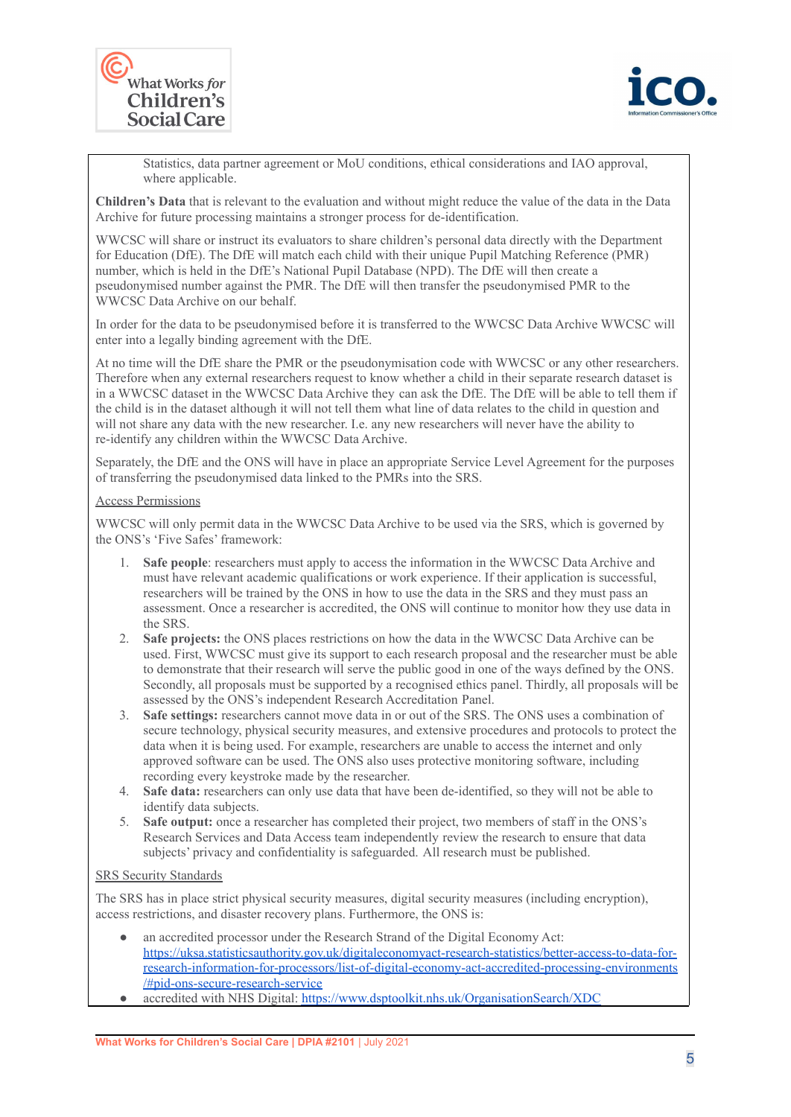



Statistics, data partner agreement or MoU conditions, ethical considerations and IAO approval, where applicable.

**Children's Data** that is relevant to the evaluation and without might reduce the value of the data in the Data Archive for future processing maintains a stronger process for de-identification.

WWCSC will share or instruct its evaluators to share children's personal data directly with the Department for Education (DfE). The DfE will match each child with their unique Pupil Matching Reference (PMR) number, which is held in the DfE's National Pupil Database (NPD). The DfE will then create a pseudonymised number against the PMR. The DfE will then transfer the pseudonymised PMR to the WWCSC Data Archive on our behalf.

In order for the data to be pseudonymised before it is transferred to the WWCSC Data Archive WWCSC will enter into a legally binding agreement with the DfE.

At no time will the DfE share the PMR or the pseudonymisation code with WWCSC or any other researchers. Therefore when any external researchers request to know whether a child in their separate research dataset is in a WWCSC dataset in the WWCSC Data Archive they can ask the DfE. The DfE will be able to tell them if the child is in the dataset although it will not tell them what line of data relates to the child in question and will not share any data with the new researcher. I.e. any new researchers will never have the ability to re-identify any children within the WWCSC Data Archive.

Separately, the DfE and the ONS will have in place an appropriate Service Level Agreement for the purposes of transferring the pseudonymised data linked to the PMRs into the SRS.

#### Access Permissions

WWCSC will only permit data in the WWCSC Data Archive to be used via the SRS, which is governed by the ONS's 'Five Safes' framework:

- 1. **Safe people**: researchers must apply to access the information in the WWCSC Data Archive and must have relevant academic qualifications or work experience. If their application is successful, researchers will be trained by the ONS in how to use the data in the SRS and they must pass an assessment. Once a researcher is accredited, the ONS will continue to monitor how they use data in the SRS.
- 2. **Safe projects:** the ONS places restrictions on how the data in the WWCSC Data Archive can be used. First, WWCSC must give its support to each research proposal and the researcher must be able to demonstrate that their research will serve the public good in one of the ways defined by the ONS. Secondly, all proposals must be supported by a recognised ethics panel. Thirdly, all proposals will be assessed by the ONS's independent Research Accreditation Panel.
- 3. **Safe settings:** researchers cannot move data in or out of the SRS. The ONS uses a combination of secure technology, physical security measures, and extensive procedures and protocols to protect the data when it is being used. For example, researchers are unable to access the internet and only approved software can be used. The ONS also uses protective monitoring software, including recording every keystroke made by the researcher.
- 4. **Safe data:** researchers can only use data that have been de-identified, so they will not be able to identify data subjects.
- 5. **Safe output:** once a researcher has completed their project, two members of staff in the ONS's Research Services and Data Access team independently review the research to ensure that data subjects' privacy and confidentiality is safeguarded. All research must be published.

#### SRS Security Standards

The SRS has in place strict physical security measures, digital security measures (including encryption), access restrictions, and disaster recovery plans. Furthermore, the ONS is:

- an accredited processor under the Research Strand of the Digital Economy Act: [https://uksa.statisticsauthority.gov.uk/digitaleconomyact-research-statistics/better-access-to-data-for](https://uksa.statisticsauthority.gov.uk/digitaleconomyact-research-statistics/better-access-to-data-for-research-information-for-processors/list-of-digital-economy-act-accredited-processing-environments/#pid-ons-secure-research-service)[research-information-for-processors/list-of-digital-economy-act-accredited-processing-environments](https://uksa.statisticsauthority.gov.uk/digitaleconomyact-research-statistics/better-access-to-data-for-research-information-for-processors/list-of-digital-economy-act-accredited-processing-environments/#pid-ons-secure-research-service) [/#pid-ons-secure-research-service](https://uksa.statisticsauthority.gov.uk/digitaleconomyact-research-statistics/better-access-to-data-for-research-information-for-processors/list-of-digital-economy-act-accredited-processing-environments/#pid-ons-secure-research-service)
- accredited with NHS Digital: <https://www.dsptoolkit.nhs.uk/OrganisationSearch/XDC>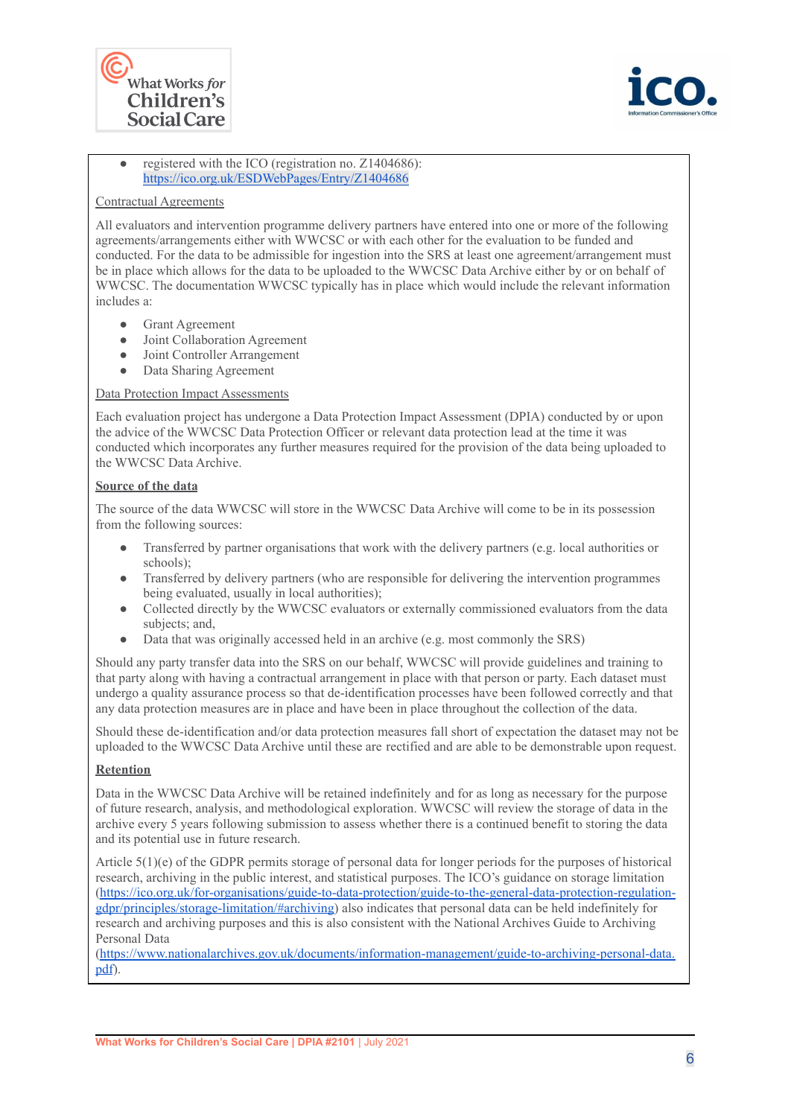



#### • registered with the ICO (registration no. Z1404686): <https://ico.org.uk/ESDWebPages/Entry/Z1404686>

#### Contractual Agreements

All evaluators and intervention programme delivery partners have entered into one or more of the following agreements/arrangements either with WWCSC or with each other for the evaluation to be funded and conducted. For the data to be admissible for ingestion into the SRS at least one agreement/arrangement must be in place which allows for the data to be uploaded to the WWCSC Data Archive either by or on behalf of WWCSC. The documentation WWCSC typically has in place which would include the relevant information includes a:

- Grant Agreement
- Joint Collaboration Agreement
- Joint Controller Arrangement
- Data Sharing Agreement

#### Data Protection Impact Assessments

Each evaluation project has undergone a Data Protection Impact Assessment (DPIA) conducted by or upon the advice of the WWCSC Data Protection Officer or relevant data protection lead at the time it was conducted which incorporates any further measures required for the provision of the data being uploaded to the WWCSC Data Archive.

#### **Source of the data**

The source of the data WWCSC will store in the WWCSC Data Archive will come to be in its possession from the following sources:

- Transferred by partner organisations that work with the delivery partners (e.g. local authorities or schools);
- Transferred by delivery partners (who are responsible for delivering the intervention programmes being evaluated, usually in local authorities);
- Collected directly by the WWCSC evaluators or externally commissioned evaluators from the data subjects; and,
- Data that was originally accessed held in an archive (e.g. most commonly the SRS)

Should any party transfer data into the SRS on our behalf, WWCSC will provide guidelines and training to that party along with having a contractual arrangement in place with that person or party. Each dataset must undergo a quality assurance process so that de-identification processes have been followed correctly and that any data protection measures are in place and have been in place throughout the collection of the data.

Should these de-identification and/or data protection measures fall short of expectation the dataset may not be uploaded to the WWCSC Data Archive until these are rectified and are able to be demonstrable upon request.

#### **Retention**

Data in the WWCSC Data Archive will be retained indefinitely and for as long as necessary for the purpose of future research, analysis, and methodological exploration. WWCSC will review the storage of data in the archive every 5 years following submission to assess whether there is a continued benefit to storing the data and its potential use in future research.

Article 5(1)(e) of the GDPR permits storage of personal data for longer periods for the purposes of historical research, archiving in the public interest, and statistical purposes. The ICO's guidance on storage limitation [\(https://ico.org.uk/for-organisations/guide-to-data-protection/guide-to-the-general-data-protection-regulation](https://ico.org.uk/for-organisations/guide-to-data-protection/guide-to-the-general-data-protection-regulation-gdpr/principles/storage-limitation/#archiving)[gdpr/principles/storage-limitation/#archiving\)](https://ico.org.uk/for-organisations/guide-to-data-protection/guide-to-the-general-data-protection-regulation-gdpr/principles/storage-limitation/#archiving) also indicates that personal data can be held indefinitely for research and archiving purposes and this is also consistent with the National Archives Guide to Archiving Personal Data

[\(https://www.nationalarchives.gov.uk/documents/information-management/guide-to-archiving-personal-data.](https://www.nationalarchives.gov.uk/documents/information-management/guide-to-archiving-personal-data.pdf) [pdf](https://www.nationalarchives.gov.uk/documents/information-management/guide-to-archiving-personal-data.pdf)).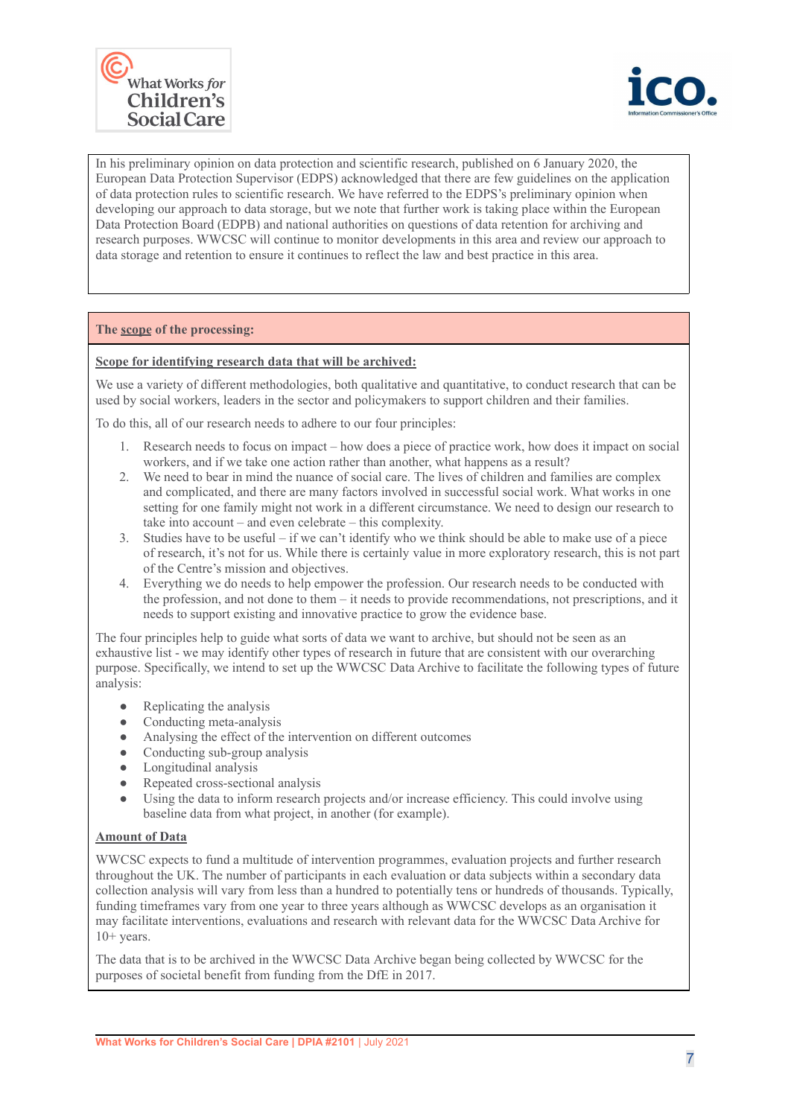



In his preliminary opinion on data protection and scientific research, published on 6 January 2020, the European Data Protection Supervisor (EDPS) acknowledged that there are few guidelines on the application of data protection rules to scientific research. We have referred to the EDPS's preliminary opinion when developing our approach to data storage, but we note that further work is taking place within the European Data Protection Board (EDPB) and national authorities on questions of data retention for archiving and research purposes. WWCSC will continue to monitor developments in this area and review our approach to data storage and retention to ensure it continues to reflect the law and best practice in this area.

#### **The scope of the processing:**

#### **Scope for identifying research data that will be archived:**

We use a variety of different methodologies, both qualitative and quantitative, to conduct research that can be used by social workers, leaders in the sector and policymakers to support children and their families.

To do this, all of our research needs to adhere to our four principles:

- 1. Research needs to focus on impact how does a piece of practice work, how does it impact on social workers, and if we take one action rather than another, what happens as a result?
- 2. We need to bear in mind the nuance of social care. The lives of children and families are complex and complicated, and there are many factors involved in successful social work. What works in one setting for one family might not work in a different circumstance. We need to design our research to take into account – and even celebrate – this complexity.
- 3. Studies have to be useful if we can't identify who we think should be able to make use of a piece of research, it's not for us. While there is certainly value in more exploratory research, this is not part of the Centre's mission and objectives.
- 4. Everything we do needs to help empower the profession. Our research needs to be conducted with the profession, and not done to them – it needs to provide recommendations, not prescriptions, and it needs to support existing and innovative practice to grow the evidence base.

The four principles help to guide what sorts of data we want to archive, but should not be seen as an exhaustive list - we may identify other types of research in future that are consistent with our overarching purpose. Specifically, we intend to set up the WWCSC Data Archive to facilitate the following types of future analysis:

- $\bullet$  Replicating the analysis
- Conducting meta-analysis
- Analysing the effect of the intervention on different outcomes
- $\bullet$  Conducting sub-group analysis
- Longitudinal analysis
- Repeated cross-sectional analysis
- Using the data to inform research projects and/or increase efficiency. This could involve using baseline data from what project, in another (for example).

#### **Amount of Data**

WWCSC expects to fund a multitude of intervention programmes, evaluation projects and further research throughout the UK. The number of participants in each evaluation or data subjects within a secondary data collection analysis will vary from less than a hundred to potentially tens or hundreds of thousands. Typically, funding timeframes vary from one year to three years although as WWCSC develops as an organisation it may facilitate interventions, evaluations and research with relevant data for the WWCSC Data Archive for  $10+$  years.

The data that is to be archived in the WWCSC Data Archive began being collected by WWCSC for the purposes of societal benefit from funding from the DfE in 2017.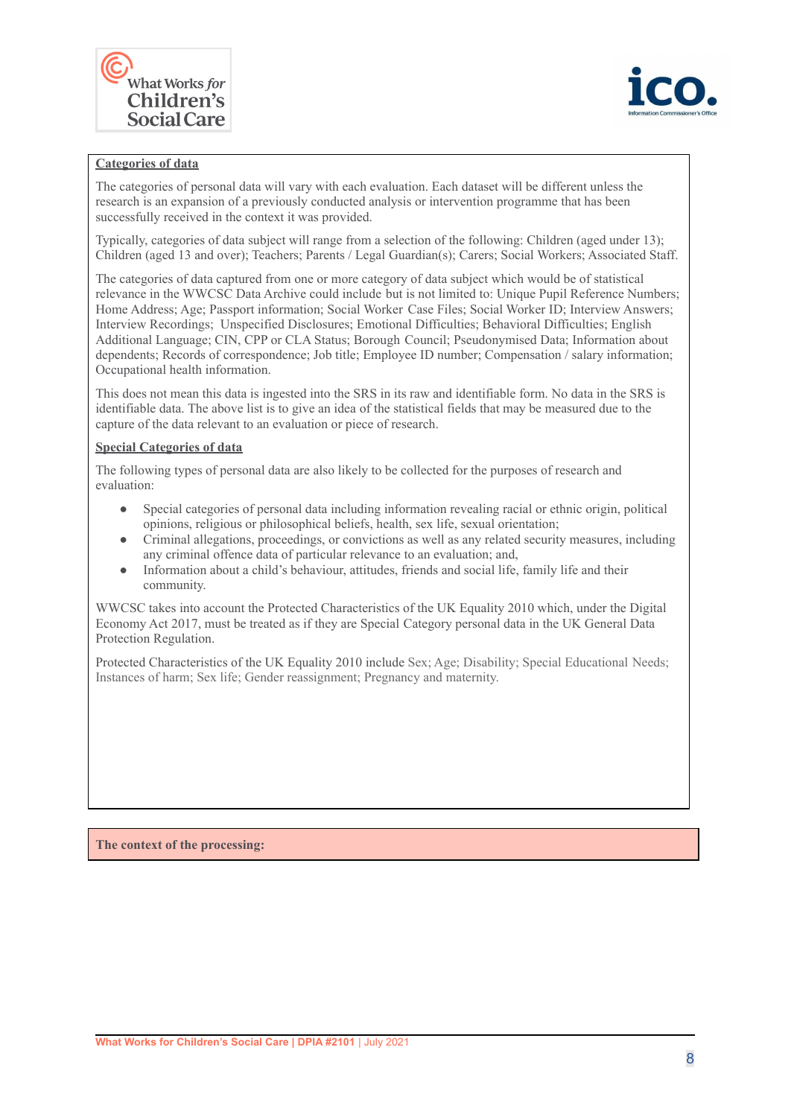



#### **Categories of data**

The categories of personal data will vary with each evaluation. Each dataset will be different unless the research is an expansion of a previously conducted analysis or intervention programme that has been successfully received in the context it was provided.

Typically, categories of data subject will range from a selection of the following: Children (aged under 13); Children (aged 13 and over); Teachers; Parents / Legal Guardian(s); Carers; Social Workers; Associated Staff.

The categories of data captured from one or more category of data subject which would be of statistical relevance in the WWCSC Data Archive could include but is not limited to: Unique Pupil Reference Numbers; Home Address; Age; Passport information; Social Worker Case Files; Social Worker ID; Interview Answers; Interview Recordings; Unspecified Disclosures; Emotional Difficulties; Behavioral Difficulties; English Additional Language; CIN, CPP or CLA Status; Borough Council; Pseudonymised Data; Information about dependents; Records of correspondence; Job title; Employee ID number; Compensation / salary information; Occupational health information.

This does not mean this data is ingested into the SRS in its raw and identifiable form. No data in the SRS is identifiable data. The above list is to give an idea of the statistical fields that may be measured due to the capture of the data relevant to an evaluation or piece of research.

#### **Special Categories of data**

The following types of personal data are also likely to be collected for the purposes of research and evaluation:

- Special categories of personal data including information revealing racial or ethnic origin, political opinions, religious or philosophical beliefs, health, sex life, sexual orientation;
- Criminal allegations, proceedings, or convictions as well as any related security measures, including any criminal offence data of particular relevance to an evaluation; and,
- Information about a child's behaviour, attitudes, friends and social life, family life and their community.

WWCSC takes into account the Protected Characteristics of the UK Equality 2010 which, under the Digital Economy Act 2017, must be treated as if they are Special Category personal data in the UK General Data Protection Regulation.

Protected Characteristics of the UK Equality 2010 include Sex; Age; Disability; Special Educational Needs; Instances of harm; Sex life; Gender reassignment; Pregnancy and maternity.

**The context of the processing:**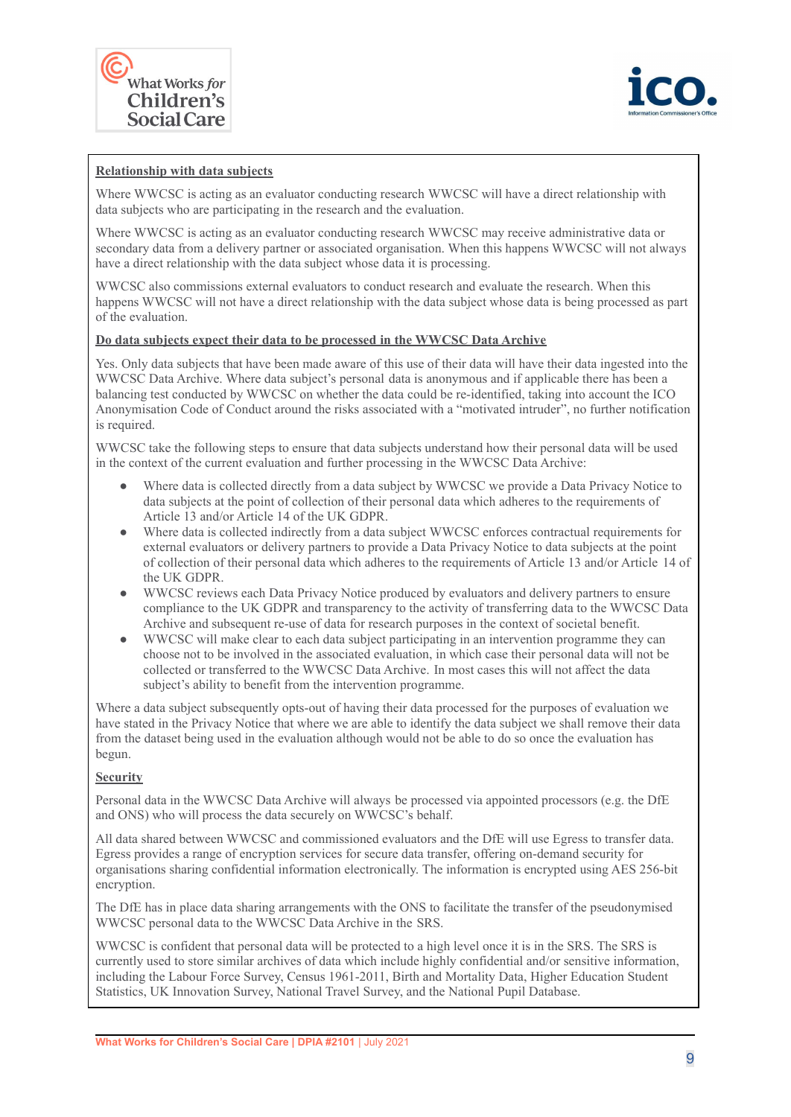



#### **Relationship with data subjects**

Where WWCSC is acting as an evaluator conducting research WWCSC will have a direct relationship with data subjects who are participating in the research and the evaluation.

Where WWCSC is acting as an evaluator conducting research WWCSC may receive administrative data or secondary data from a delivery partner or associated organisation. When this happens WWCSC will not always have a direct relationship with the data subject whose data it is processing.

WWCSC also commissions external evaluators to conduct research and evaluate the research. When this happens WWCSC will not have a direct relationship with the data subject whose data is being processed as part of the evaluation.

#### **Do data subjects expect their data to be processed in the WWCSC Data Archive**

Yes. Only data subjects that have been made aware of this use of their data will have their data ingested into the WWCSC Data Archive. Where data subject's personal data is anonymous and if applicable there has been a balancing test conducted by WWCSC on whether the data could be re-identified, taking into account the ICO Anonymisation Code of Conduct around the risks associated with a "motivated intruder", no further notification is required.

WWCSC take the following steps to ensure that data subjects understand how their personal data will be used in the context of the current evaluation and further processing in the WWCSC Data Archive:

- Where data is collected directly from a data subject by WWCSC we provide a Data Privacy Notice to data subjects at the point of collection of their personal data which adheres to the requirements of Article 13 and/or Article 14 of the UK GDPR.
- Where data is collected indirectly from a data subject WWCSC enforces contractual requirements for external evaluators or delivery partners to provide a Data Privacy Notice to data subjects at the point of collection of their personal data which adheres to the requirements of Article 13 and/or Article 14 of the UK GDPR.
- WWCSC reviews each Data Privacy Notice produced by evaluators and delivery partners to ensure compliance to the UK GDPR and transparency to the activity of transferring data to the WWCSC Data Archive and subsequent re-use of data for research purposes in the context of societal benefit.
- WWCSC will make clear to each data subject participating in an intervention programme they can choose not to be involved in the associated evaluation, in which case their personal data will not be collected or transferred to the WWCSC Data Archive. In most cases this will not affect the data subject's ability to benefit from the intervention programme.

Where a data subject subsequently opts-out of having their data processed for the purposes of evaluation we have stated in the Privacy Notice that where we are able to identify the data subject we shall remove their data from the dataset being used in the evaluation although would not be able to do so once the evaluation has begun.

#### **Security**

Personal data in the WWCSC Data Archive will always be processed via appointed processors (e.g. the DfE and ONS) who will process the data securely on WWCSC's behalf.

All data shared between WWCSC and commissioned evaluators and the DfE will use Egress to transfer data. Egress provides a range of encryption services for secure data transfer, offering on-demand security for organisations sharing confidential information electronically. The information is encrypted using AES 256-bit encryption.

The DfE has in place data sharing arrangements with the ONS to facilitate the transfer of the pseudonymised WWCSC personal data to the WWCSC Data Archive in the SRS.

WWCSC is confident that personal data will be protected to a high level once it is in the SRS. The SRS is currently used to store similar archives of data which include highly confidential and/or sensitive information, including the Labour Force Survey, Census 1961-2011, Birth and Mortality Data, Higher Education Student Statistics, UK Innovation Survey, National Travel Survey, and the National Pupil Database.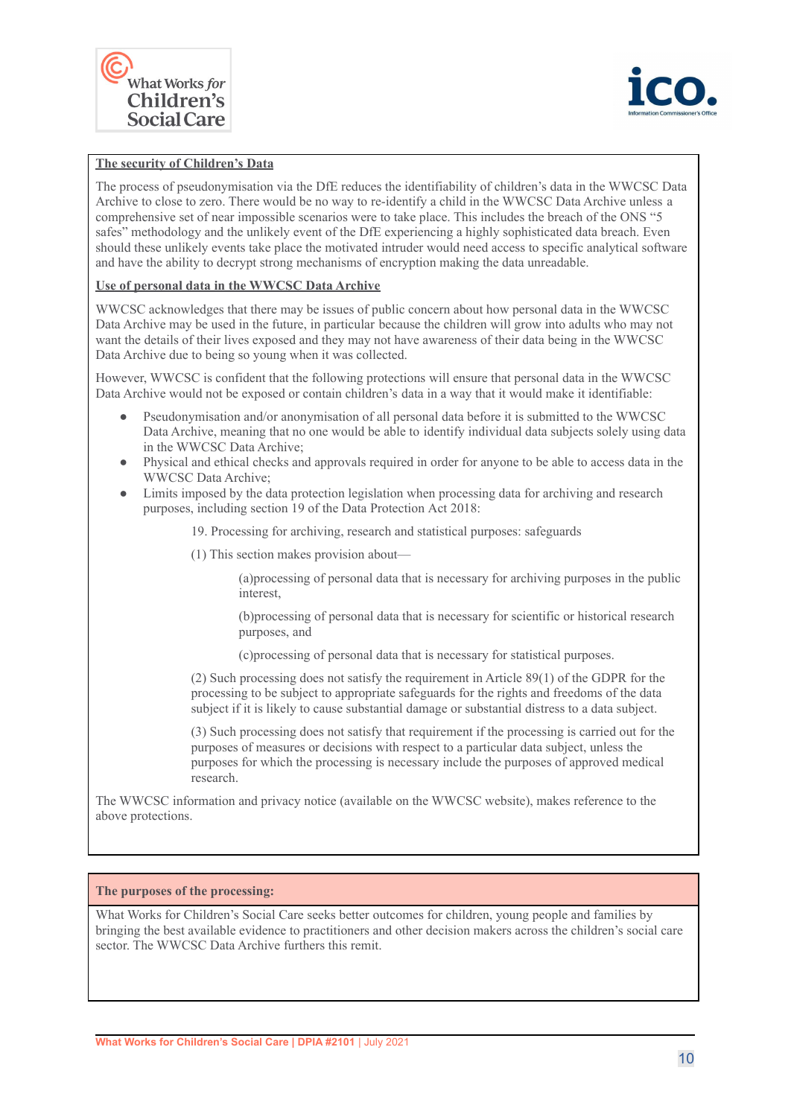



#### **The security of Children's Data**

The process of pseudonymisation via the DfE reduces the identifiability of children's data in the WWCSC Data Archive to close to zero. There would be no way to re-identify a child in the WWCSC Data Archive unless a comprehensive set of near impossible scenarios were to take place. This includes the breach of the ONS "5 safes" methodology and the unlikely event of the DfE experiencing a highly sophisticated data breach. Even should these unlikely events take place the motivated intruder would need access to specific analytical software and have the ability to decrypt strong mechanisms of encryption making the data unreadable.

#### **Use of personal data in the WWCSC Data Archive**

WWCSC acknowledges that there may be issues of public concern about how personal data in the WWCSC Data Archive may be used in the future, in particular because the children will grow into adults who may not want the details of their lives exposed and they may not have awareness of their data being in the WWCSC Data Archive due to being so young when it was collected.

However, WWCSC is confident that the following protections will ensure that personal data in the WWCSC Data Archive would not be exposed or contain children's data in a way that it would make it identifiable:

- Pseudonymisation and/or anonymisation of all personal data before it is submitted to the WWCSC Data Archive, meaning that no one would be able to identify individual data subjects solely using data in the WWCSC Data Archive;
- Physical and ethical checks and approvals required in order for anyone to be able to access data in the WWCSC Data Archive;
- Limits imposed by the data protection legislation when processing data for archiving and research purposes, including section 19 of the Data Protection Act 2018:

19. Processing for archiving, research and statistical purposes: safeguards

(1) This section makes provision about—

(a)processing of personal data that is necessary for archiving purposes in the public interest,

(b)processing of personal data that is necessary for scientific or historical research purposes, and

(c)processing of personal data that is necessary for statistical purposes.

(2) Such processing does not satisfy the requirement in Article 89(1) of the GDPR for the processing to be subject to appropriate safeguards for the rights and freedoms of the data subject if it is likely to cause substantial damage or substantial distress to a data subject.

(3) Such processing does not satisfy that requirement if the processing is carried out for the purposes of measures or decisions with respect to a particular data subject, unless the purposes for which the processing is necessary include the purposes of approved medical research.

The WWCSC information and privacy notice (available on the WWCSC website), makes reference to the above protections.

#### **The purposes of the processing:**

What Works for Children's Social Care seeks better outcomes for children, young people and families by bringing the best available evidence to practitioners and other decision makers across the children's social care sector. The WWCSC Data Archive furthers this remit.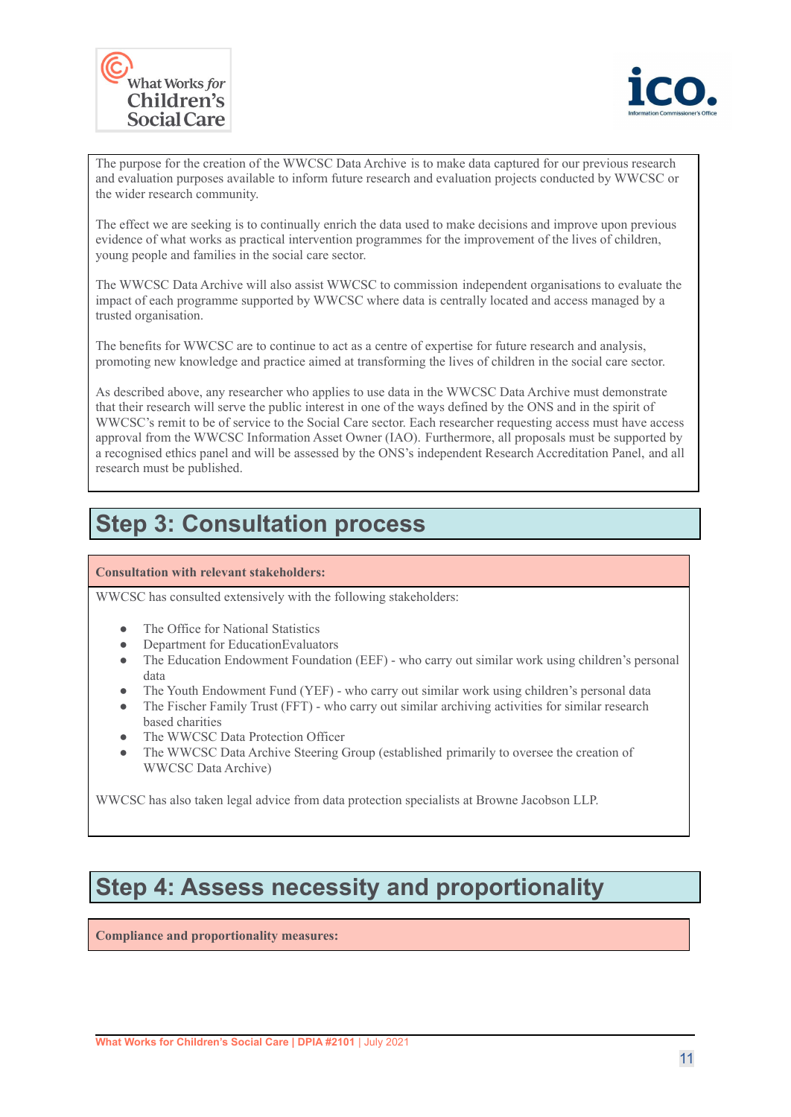



The purpose for the creation of the WWCSC Data Archive is to make data captured for our previous research and evaluation purposes available to inform future research and evaluation projects conducted by WWCSC or the wider research community.

The effect we are seeking is to continually enrich the data used to make decisions and improve upon previous evidence of what works as practical intervention programmes for the improvement of the lives of children, young people and families in the social care sector.

The WWCSC Data Archive will also assist WWCSC to commission independent organisations to evaluate the impact of each programme supported by WWCSC where data is centrally located and access managed by a trusted organisation.

The benefits for WWCSC are to continue to act as a centre of expertise for future research and analysis, promoting new knowledge and practice aimed at transforming the lives of children in the social care sector.

As described above, any researcher who applies to use data in the WWCSC Data Archive must demonstrate that their research will serve the public interest in one of the ways defined by the ONS and in the spirit of WWCSC's remit to be of service to the Social Care sector. Each researcher requesting access must have access approval from the WWCSC Information Asset Owner (IAO). Furthermore, all proposals must be supported by a recognised ethics panel and will be assessed by the ONS's independent Research Accreditation Panel, and all research must be published.

## **Step 3: Consultation process**

**Consultation with relevant stakeholders:**

WWCSC has consulted extensively with the following stakeholders:

- The Office for National Statistics
- Department for EducationEvaluators
- The Education Endowment Foundation (EEF) who carry out similar work using children's personal data
- The Youth Endowment Fund (YEF) who carry out similar work using children's personal data
- The Fischer Family Trust (FFT) who carry out similar archiving activities for similar research based charities
- The WWCSC Data Protection Officer
- The WWCSC Data Archive Steering Group (established primarily to oversee the creation of WWCSC Data Archive)

WWCSC has also taken legal advice from data protection specialists at Browne Jacobson LLP.

### **Step 4: Assess necessity and proportionality**

**Compliance and proportionality measures:**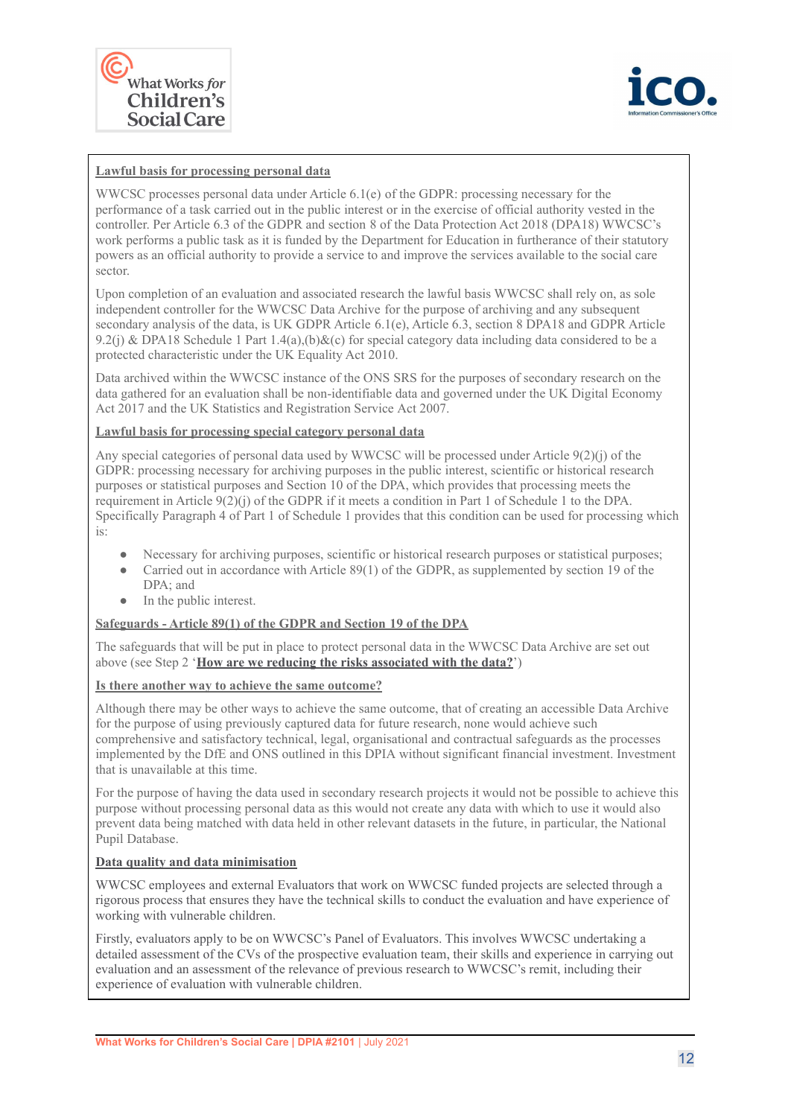



#### **Lawful basis for processing personal data**

WWCSC processes personal data under Article 6.1(e) of the GDPR: processing necessary for the performance of a task carried out in the public interest or in the exercise of official authority vested in the controller. Per Article 6.3 of the GDPR and section 8 of the Data Protection Act 2018 (DPA18) WWCSC's work performs a public task as it is funded by the Department for Education in furtherance of their statutory powers as an official authority to provide a service to and improve the services available to the social care sector.

Upon completion of an evaluation and associated research the lawful basis WWCSC shall rely on, as sole independent controller for the WWCSC Data Archive for the purpose of archiving and any subsequent secondary analysis of the data, is UK GDPR Article 6.1(e), Article 6.3, section 8 DPA18 and GDPR Article 9.2(j) & DPA18 Schedule 1 Part  $1.4(a)$ ,(b)&(c) for special category data including data considered to be a protected characteristic under the UK Equality Act 2010.

Data archived within the WWCSC instance of the ONS SRS for the purposes of secondary research on the data gathered for an evaluation shall be non-identifiable data and governed under the UK Digital Economy Act 2017 and the UK Statistics and Registration Service Act 2007.

#### **Lawful basis for processing special category personal data**

Any special categories of personal data used by WWCSC will be processed under Article 9(2)(j) of the GDPR: processing necessary for archiving purposes in the public interest, scientific or historical research purposes or statistical purposes and Section 10 of the DPA, which provides that processing meets the requirement in Article 9(2)(j) of the GDPR if it meets a condition in Part 1 of Schedule 1 to the DPA. Specifically Paragraph 4 of Part 1 of Schedule 1 provides that this condition can be used for processing which is:

- Necessary for archiving purposes, scientific or historical research purposes or statistical purposes;
- Carried out in accordance with Article 89(1) of the GDPR, as supplemented by section 19 of the DPA; and
- In the public interest.

#### **Safeguards - Article 89(1) of the GDPR and Section 19 of the DPA**

The safeguards that will be put in place to protect personal data in the WWCSC Data Archive are set out above (see Step 2 '**How are we reducing the risks associated with the data?**')

#### **Is there another way to achieve the same outcome?**

Although there may be other ways to achieve the same outcome, that of creating an accessible Data Archive for the purpose of using previously captured data for future research, none would achieve such comprehensive and satisfactory technical, legal, organisational and contractual safeguards as the processes implemented by the DfE and ONS outlined in this DPIA without significant financial investment. Investment that is unavailable at this time.

For the purpose of having the data used in secondary research projects it would not be possible to achieve this purpose without processing personal data as this would not create any data with which to use it would also prevent data being matched with data held in other relevant datasets in the future, in particular, the National Pupil Database.

#### **Data quality and data minimisation**

WWCSC employees and external Evaluators that work on WWCSC funded projects are selected through a rigorous process that ensures they have the technical skills to conduct the evaluation and have experience of working with vulnerable children.

Firstly, evaluators apply to be on WWCSC's Panel of Evaluators. This involves WWCSC undertaking a detailed assessment of the CVs of the prospective evaluation team, their skills and experience in carrying out evaluation and an assessment of the relevance of previous research to WWCSC's remit, including their experience of evaluation with vulnerable children.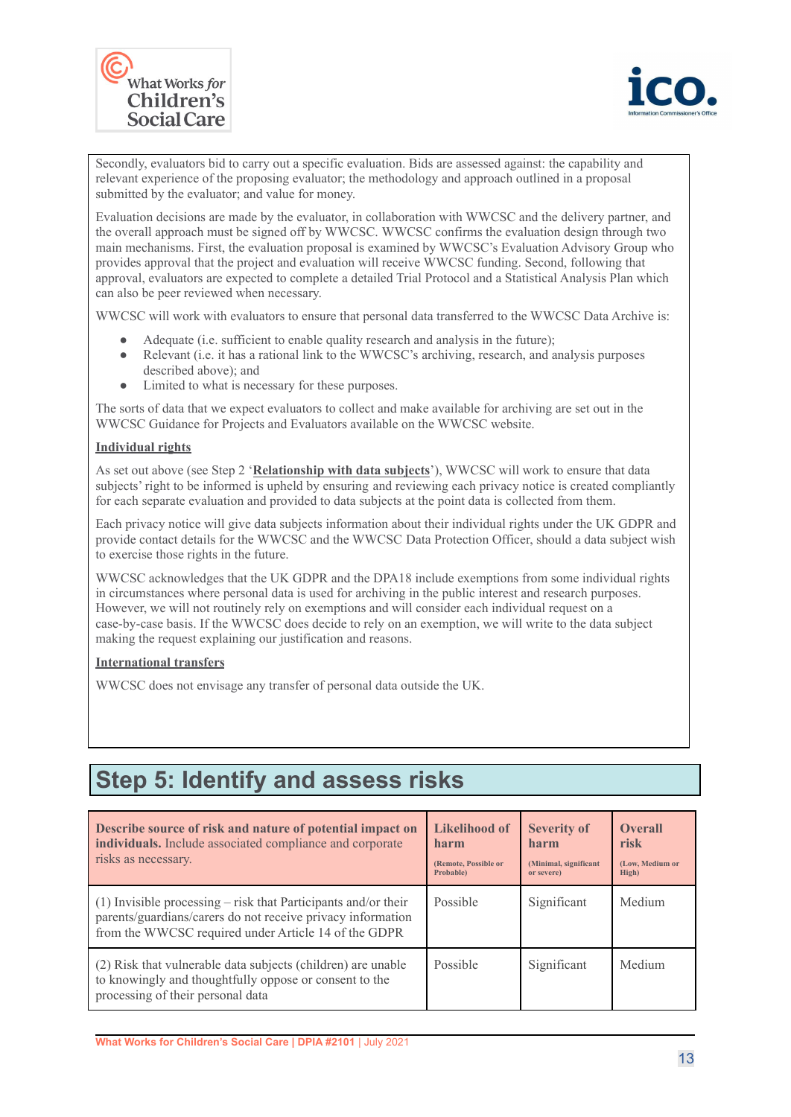



Secondly, evaluators bid to carry out a specific evaluation. Bids are assessed against: the capability and relevant experience of the proposing evaluator; the methodology and approach outlined in a proposal submitted by the evaluator; and value for money.

Evaluation decisions are made by the evaluator, in collaboration with WWCSC and the delivery partner, and the overall approach must be signed off by WWCSC. WWCSC confirms the evaluation design through two main mechanisms. First, the evaluation proposal is examined by WWCSC's Evaluation Advisory Group who provides approval that the project and evaluation will receive WWCSC funding. Second, following that approval, evaluators are expected to complete a detailed Trial Protocol and a Statistical Analysis Plan which can also be peer reviewed when necessary.

WWCSC will work with evaluators to ensure that personal data transferred to the WWCSC Data Archive is:

- Adequate (i.e. sufficient to enable quality research and analysis in the future);
- Relevant (i.e. it has a rational link to the WWCSC's archiving, research, and analysis purposes described above); and
- Limited to what is necessary for these purposes.

The sorts of data that we expect evaluators to collect and make available for archiving are set out in the WWCSC Guidance for Projects and Evaluators available on the WWCSC website.

#### **Individual rights**

As set out above (see Step 2 '**Relationship with data subjects**'), WWCSC will work to ensure that data subjects' right to be informed is upheld by ensuring and reviewing each privacy notice is created compliantly for each separate evaluation and provided to data subjects at the point data is collected from them.

Each privacy notice will give data subjects information about their individual rights under the UK GDPR and provide contact details for the WWCSC and the WWCSC Data Protection Officer, should a data subject wish to exercise those rights in the future.

WWCSC acknowledges that the UK GDPR and the DPA18 include exemptions from some individual rights in circumstances where personal data is used for archiving in the public interest and research purposes. However, we will not routinely rely on exemptions and will consider each individual request on a case-by-case basis. If the WWCSC does decide to rely on an exemption, we will write to the data subject making the request explaining our justification and reasons.

#### **International transfers**

WWCSC does not envisage any transfer of personal data outside the UK.

## **Step 5: Identify and assess risks**

| Describe source of risk and nature of potential impact on<br>individuals. Include associated compliance and corporate<br>risks as necessary.                                            | <b>Likelihood of</b><br>harm<br>(Remote, Possible or<br>Probable) | <b>Severity of</b><br>harm<br>(Minimal, significant<br>or severe) | <b>Overall</b><br>risk<br>(Low, Medium or<br>High) |
|-----------------------------------------------------------------------------------------------------------------------------------------------------------------------------------------|-------------------------------------------------------------------|-------------------------------------------------------------------|----------------------------------------------------|
| (1) Invisible processing $-$ risk that Participants and/or their<br>parents/guardians/carers do not receive privacy information<br>from the WWCSC required under Article 14 of the GDPR | Possible                                                          | Significant                                                       | Medium                                             |
| (2) Risk that vulnerable data subjects (children) are unable<br>to knowingly and thoughtfully oppose or consent to the<br>processing of their personal data                             | Possible                                                          | Significant                                                       | Medium                                             |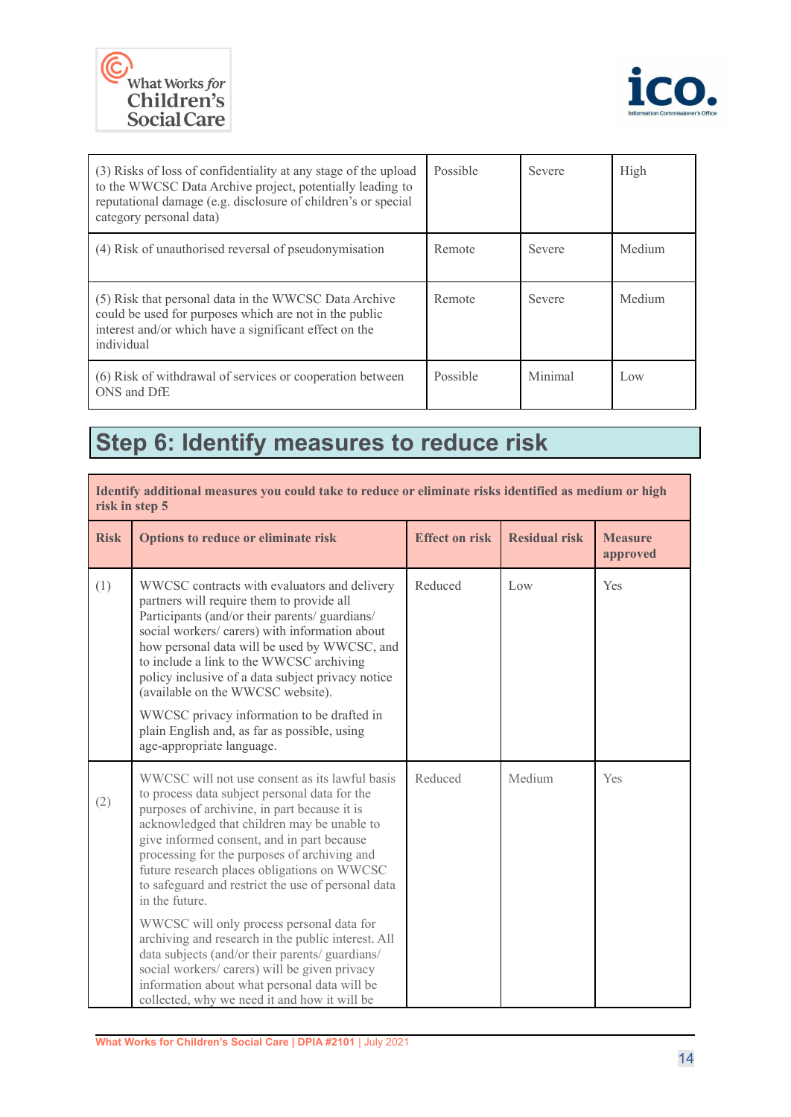



| (3) Risks of loss of confidentiality at any stage of the upload<br>to the WWCSC Data Archive project, potentially leading to<br>reputational damage (e.g. disclosure of children's or special<br>category personal data) | Possible | Severe  | High   |
|--------------------------------------------------------------------------------------------------------------------------------------------------------------------------------------------------------------------------|----------|---------|--------|
| (4) Risk of unauthorised reversal of pseudonymisation                                                                                                                                                                    | Remote   | Severe  | Medium |
| (5) Risk that personal data in the WWCSC Data Archive<br>could be used for purposes which are not in the public<br>interest and/or which have a significant effect on the<br>individual                                  | Remote   | Severe  | Medium |
| (6) Risk of withdrawal of services or cooperation between<br>ONS and DfE                                                                                                                                                 | Possible | Minimal | Low    |

## **Step 6: Identify measures to reduce risk**

| Identify additional measures you could take to reduce or eliminate risks identified as medium or high<br>risk in step 5                                                                                                                                                                                                                                                                                                                                                                                                                                                                                                   |                                              |                      |                            |
|---------------------------------------------------------------------------------------------------------------------------------------------------------------------------------------------------------------------------------------------------------------------------------------------------------------------------------------------------------------------------------------------------------------------------------------------------------------------------------------------------------------------------------------------------------------------------------------------------------------------------|----------------------------------------------|----------------------|----------------------------|
| Options to reduce or eliminate risk                                                                                                                                                                                                                                                                                                                                                                                                                                                                                                                                                                                       | <b>Effect on risk</b>                        | <b>Residual risk</b> | <b>Measure</b><br>approved |
| WWCSC contracts with evaluators and delivery<br>partners will require them to provide all<br>Participants (and/or their parents/ guardians/<br>social workers/ carers) with information about<br>how personal data will be used by WWCSC, and<br>to include a link to the WWCSC archiving<br>policy inclusive of a data subject privacy notice<br>(available on the WWCSC website).<br>WWCSC privacy information to be drafted in<br>plain English and, as far as possible, using<br>age-appropriate language.                                                                                                            | Reduced                                      | Low                  | Yes                        |
| WWCSC will not use consent as its lawful basis<br>to process data subject personal data for the<br>purposes of archivine, in part because it is<br>acknowledged that children may be unable to<br>give informed consent, and in part because<br>processing for the purposes of archiving and<br>future research places obligations on WWCSC<br>to safeguard and restrict the use of personal data<br>in the future.<br>WWCSC will only process personal data for<br>archiving and research in the public interest. All<br>data subjects (and/or their parents/ guardians/<br>social workers/carers) will be given privacy | Reduced                                      | Medium               | Yes                        |
|                                                                                                                                                                                                                                                                                                                                                                                                                                                                                                                                                                                                                           | information about what personal data will be |                      |                            |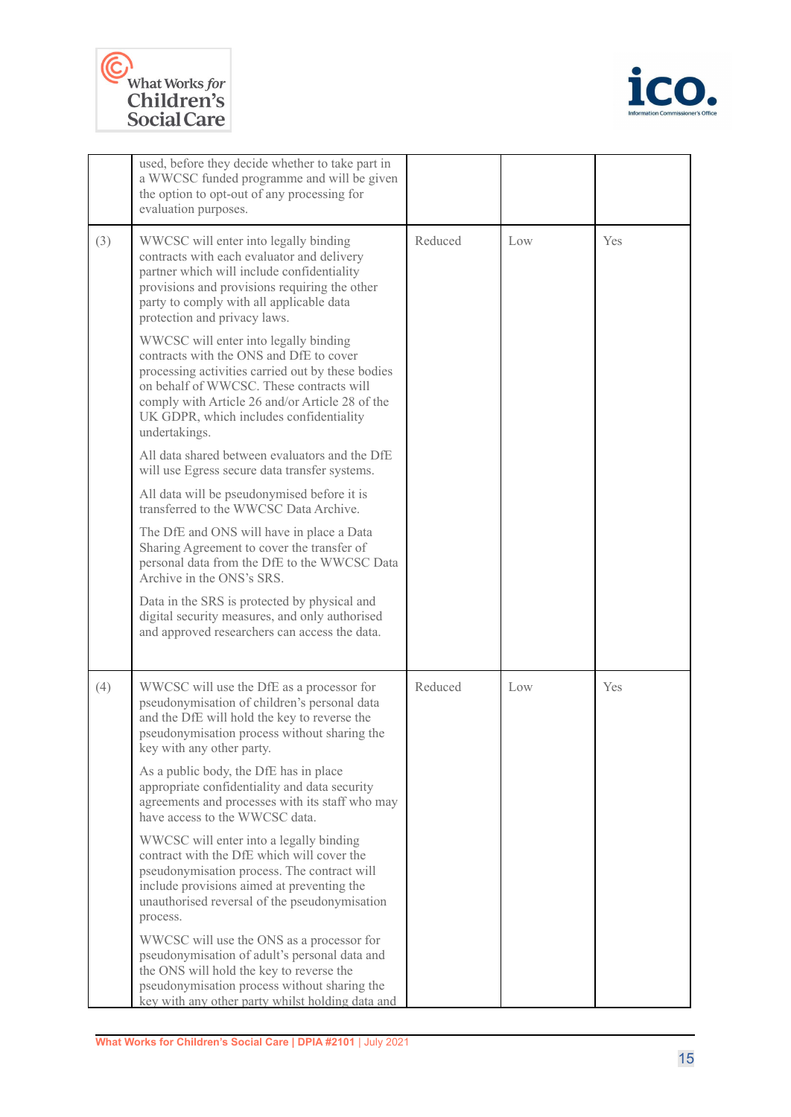



|     | used, before they decide whether to take part in<br>a WWCSC funded programme and will be given<br>the option to opt-out of any processing for<br>evaluation purposes.                                                                                                                            |         |     |     |
|-----|--------------------------------------------------------------------------------------------------------------------------------------------------------------------------------------------------------------------------------------------------------------------------------------------------|---------|-----|-----|
| (3) | WWCSC will enter into legally binding<br>contracts with each evaluator and delivery<br>partner which will include confidentiality<br>provisions and provisions requiring the other<br>party to comply with all applicable data<br>protection and privacy laws.                                   | Reduced | Low | Yes |
|     | WWCSC will enter into legally binding<br>contracts with the ONS and DfE to cover<br>processing activities carried out by these bodies<br>on behalf of WWCSC. These contracts will<br>comply with Article 26 and/or Article 28 of the<br>UK GDPR, which includes confidentiality<br>undertakings. |         |     |     |
|     | All data shared between evaluators and the DfE<br>will use Egress secure data transfer systems.                                                                                                                                                                                                  |         |     |     |
|     | All data will be pseudonymised before it is<br>transferred to the WWCSC Data Archive.                                                                                                                                                                                                            |         |     |     |
|     | The DfE and ONS will have in place a Data<br>Sharing Agreement to cover the transfer of<br>personal data from the DfE to the WWCSC Data<br>Archive in the ONS's SRS.                                                                                                                             |         |     |     |
|     | Data in the SRS is protected by physical and<br>digital security measures, and only authorised<br>and approved researchers can access the data.                                                                                                                                                  |         |     |     |
| (4) | WWCSC will use the DfE as a processor for<br>pseudonymisation of children's personal data<br>and the DfE will hold the key to reverse the<br>pseudonymisation process without sharing the<br>key with any other party.                                                                           | Reduced | Low | Yes |
|     | As a public body, the DfE has in place<br>appropriate confidentiality and data security<br>agreements and processes with its staff who may<br>have access to the WWCSC data.                                                                                                                     |         |     |     |
|     | WWCSC will enter into a legally binding<br>contract with the DfE which will cover the<br>pseudonymisation process. The contract will<br>include provisions aimed at preventing the<br>unauthorised reversal of the pseudonymisation<br>process.                                                  |         |     |     |
|     | WWCSC will use the ONS as a processor for<br>pseudonymisation of adult's personal data and<br>the ONS will hold the key to reverse the<br>pseudonymisation process without sharing the<br>key with any other party whilst holding data and                                                       |         |     |     |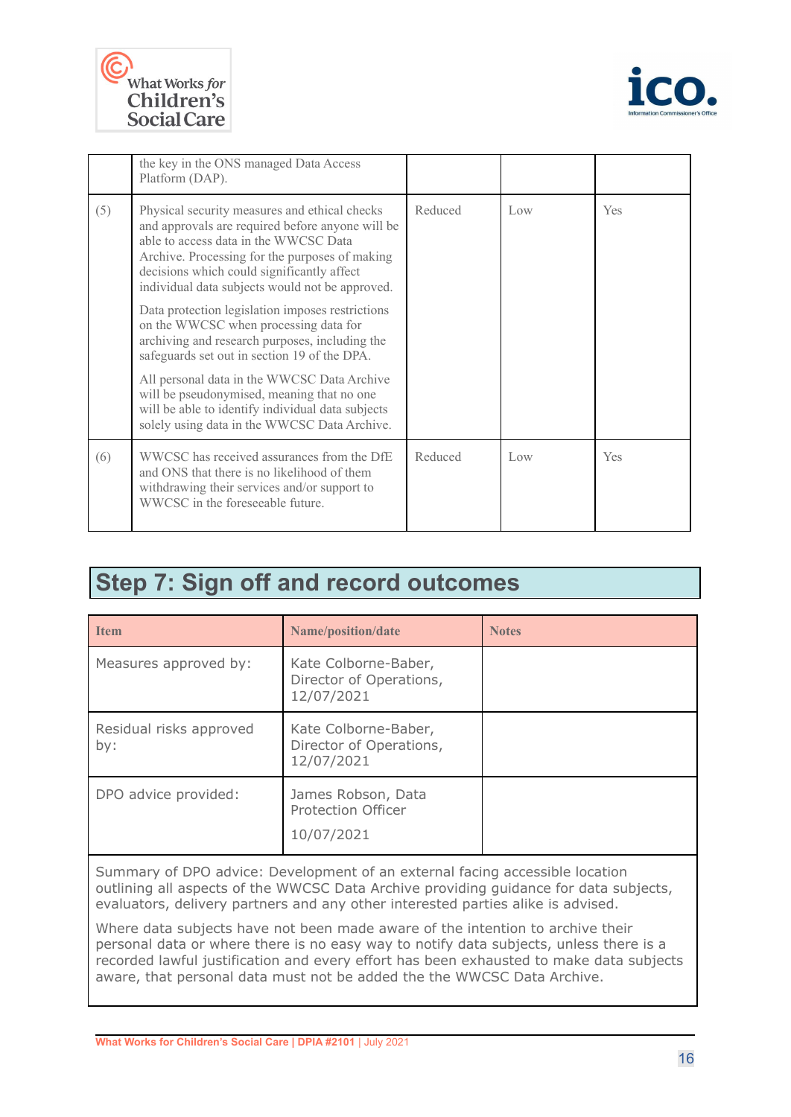



|     | the key in the ONS managed Data Access<br>Platform (DAP).                                                                                                                                                                                                                                     |         |     |            |
|-----|-----------------------------------------------------------------------------------------------------------------------------------------------------------------------------------------------------------------------------------------------------------------------------------------------|---------|-----|------------|
| (5) | Physical security measures and ethical checks<br>and approvals are required before anyone will be<br>able to access data in the WWCSC Data<br>Archive. Processing for the purposes of making<br>decisions which could significantly affect<br>individual data subjects would not be approved. | Reduced | Low | <b>Yes</b> |
|     | Data protection legislation imposes restrictions<br>on the WWCSC when processing data for<br>archiving and research purposes, including the<br>safeguards set out in section 19 of the DPA.                                                                                                   |         |     |            |
|     | All personal data in the WWCSC Data Archive<br>will be pseudonymised, meaning that no one<br>will be able to identify individual data subjects<br>solely using data in the WWCSC Data Archive.                                                                                                |         |     |            |
| (6) | WWCSC has received assurances from the DfE<br>and ONS that there is no likelihood of them<br>withdrawing their services and/or support to<br>WWCSC in the foreseeable future.                                                                                                                 | Reduced | Low | Yes        |

## **Step 7: Sign off and record outcomes**

| <b>Item</b>                    | Name/position/date                                            | <b>Notes</b> |
|--------------------------------|---------------------------------------------------------------|--------------|
| Measures approved by:          | Kate Colborne-Baber,<br>Director of Operations,<br>12/07/2021 |              |
| Residual risks approved<br>by: | Kate Colborne-Baber,<br>Director of Operations,<br>12/07/2021 |              |
| DPO advice provided:           | James Robson, Data<br><b>Protection Officer</b><br>10/07/2021 |              |

Summary of DPO advice: Development of an external facing accessible location outlining all aspects of the WWCSC Data Archive providing guidance for data subjects, evaluators, delivery partners and any other interested parties alike is advised.

Where data subjects have not been made aware of the intention to archive their personal data or where there is no easy way to notify data subjects, unless there is a recorded lawful justification and every effort has been exhausted to make data subjects aware, that personal data must not be added the the WWCSC Data Archive.